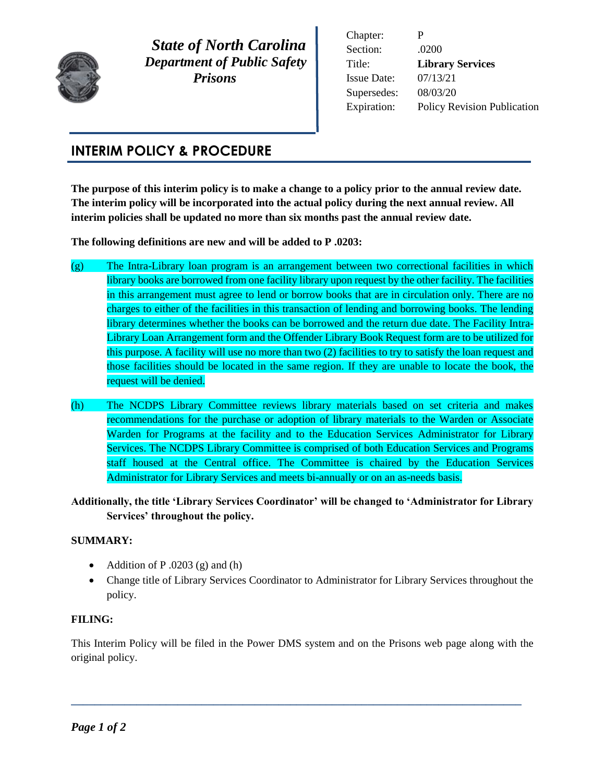

 *State of North Carolina Department of Public Safety Prisons* 

Chapter: P Section: .0200 Title: **Library Services** Issue Date: 07/13/21 Supersedes: 08/03/20 Expiration: Policy Revision Publication

## **INTERIM POLICY & PROCEDURE**

**The purpose of this interim policy is to make a change to a policy prior to the annual review date. The interim policy will be incorporated into the actual policy during the next annual review. All interim policies shall be updated no more than six months past the annual review date.** 

**The following definitions are new and will be added to P .0203:**

- (g) The Intra-Library loan program is an arrangement between two correctional facilities in which library books are borrowed from one facility library upon request by the other facility. The facilities in this arrangement must agree to lend or borrow books that are in circulation only. There are no charges to either of the facilities in this transaction of lending and borrowing books. The lending library determines whether the books can be borrowed and the return due date. The Facility Intra-Library Loan Arrangement form and the Offender Library Book Request form are to be utilized for this purpose. A facility will use no more than two (2) facilities to try to satisfy the loan request and those facilities should be located in the same region. If they are unable to locate the book, the request will be denied.
- (h) The NCDPS Library Committee reviews library materials based on set criteria and makes recommendations for the purchase or adoption of library materials to the Warden or Associate Warden for Programs at the facility and to the Education Services Administrator for Library Services. The NCDPS Library Committee is comprised of both Education Services and Programs staff housed at the Central office. The Committee is chaired by the Education Services Administrator for Library Services and meets bi-annually or on an as-needs basis.
- **Additionally, the title 'Library Services Coordinator' will be changed to 'Administrator for Library Services' throughout the policy.**

## **SUMMARY:**

- Addition of P.0203 (g) and (h)
- Change title of Library Services Coordinator to Administrator for Library Services throughout the policy.

## **FILING:**

This Interim Policy will be filed in the Power DMS system and on the Prisons web page along with the original policy.

**\_\_\_\_\_\_\_\_\_\_\_\_\_\_\_\_\_\_\_\_\_\_\_\_\_\_\_\_\_\_\_\_\_\_\_\_\_\_\_\_\_\_\_\_\_\_\_\_\_\_\_\_\_\_\_\_\_\_\_\_\_\_\_\_\_\_\_\_\_\_\_\_\_\_\_\_**